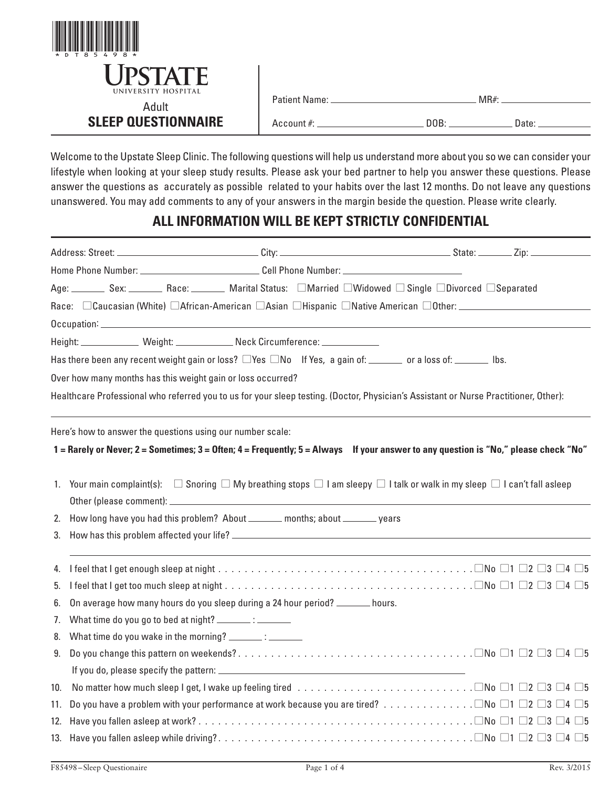

| Patient Name: |  |
|---------------|--|
|               |  |

Account #: DOB: Date:

Welcome to the Upstate Sleep Clinic. The following questions will help us understand more about you so we can consider your lifestyle when looking at your sleep study results. Please ask your bed partner to help you answer these questions. Please answer the questions as accurately as possible related to your habits over the last 12 months. Do not leave any questions unanswered. You may add comments to any of your answers in the margin beside the question. Please write clearly.

## **ALL INFORMATION WILL BE KEPT STRICTLY CONFIDENTIAL**

|     |                                                             | Home Phone Number: _________________________________Cell Phone Number: _____________________________                          |                                                                                                                                                     |
|-----|-------------------------------------------------------------|-------------------------------------------------------------------------------------------------------------------------------|-----------------------------------------------------------------------------------------------------------------------------------------------------|
|     |                                                             |                                                                                                                               | Age: Sex: Sex: Race: Marital Status: Married DWidowed DSingle DDivorced DSeparated                                                                  |
|     |                                                             |                                                                                                                               | Race: CCaucasian (White) CAfrican-American CAsian CHispanic CNative American COther:                                                                |
|     |                                                             |                                                                                                                               |                                                                                                                                                     |
|     |                                                             | Height: ______________ Weight: _____________ Neck Circumference: ______________                                               |                                                                                                                                                     |
|     |                                                             | Has there been any recent weight gain or loss? $\square$ Yes $\square$ No If Yes, a gain of: ______ or a loss of: ______ lbs. |                                                                                                                                                     |
|     | Over how many months has this weight gain or loss occurred? |                                                                                                                               |                                                                                                                                                     |
|     |                                                             |                                                                                                                               | Healthcare Professional who referred you to us for your sleep testing. (Doctor, Physician's Assistant or Nurse Practitioner, Other):                |
|     | Here's how to answer the questions using our number scale:  |                                                                                                                               | 1 = Rarely or Never; 2 = Sometimes; 3 = Often; 4 = Frequently; 5 = Always If your answer to any question is "No," please check "No"                 |
|     |                                                             |                                                                                                                               | 1. Your main complaint(s): $\Box$ Snoring $\Box$ My breathing stops $\Box$ I am sleepy $\Box$ I talk or walk in my sleep $\Box$ I can't fall asleep |
| 2.  |                                                             | How long have you had this problem? About ______ months; about ______ years                                                   |                                                                                                                                                     |
| 3.  |                                                             |                                                                                                                               |                                                                                                                                                     |
| 4.  |                                                             |                                                                                                                               |                                                                                                                                                     |
| 5.  |                                                             |                                                                                                                               |                                                                                                                                                     |
| 6.  |                                                             | On average how many hours do you sleep during a 24 hour period? ______ hours.                                                 |                                                                                                                                                     |
| 7.  | What time do you go to bed at night? _______: ________      |                                                                                                                               |                                                                                                                                                     |
| 8.  | What time do you wake in the morning? ________: _________   |                                                                                                                               |                                                                                                                                                     |
| 9.  |                                                             |                                                                                                                               |                                                                                                                                                     |
|     |                                                             |                                                                                                                               |                                                                                                                                                     |
| 10. |                                                             |                                                                                                                               |                                                                                                                                                     |
| 11. |                                                             |                                                                                                                               |                                                                                                                                                     |
| 12. |                                                             |                                                                                                                               |                                                                                                                                                     |
|     |                                                             |                                                                                                                               |                                                                                                                                                     |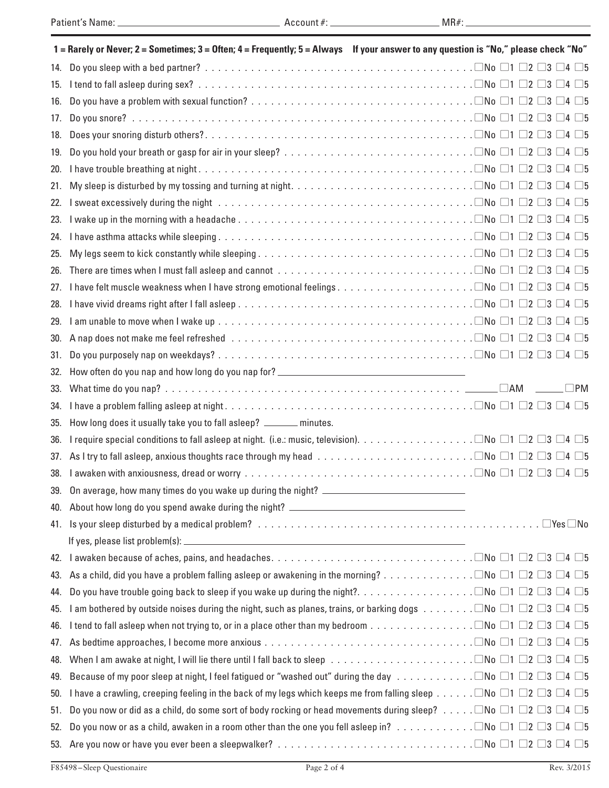|     | 1 = Rarely or Never; 2 = Sometimes; 3 = Often; 4 = Frequently; 5 = Always If your answer to any question is "No," please check "No"                                                               |  |           |
|-----|---------------------------------------------------------------------------------------------------------------------------------------------------------------------------------------------------|--|-----------|
| 14. |                                                                                                                                                                                                   |  |           |
| 15. |                                                                                                                                                                                                   |  |           |
| 16. |                                                                                                                                                                                                   |  |           |
| 17. |                                                                                                                                                                                                   |  |           |
| 18. |                                                                                                                                                                                                   |  |           |
| 19. |                                                                                                                                                                                                   |  |           |
| 20. |                                                                                                                                                                                                   |  |           |
| 21. |                                                                                                                                                                                                   |  |           |
| 22. |                                                                                                                                                                                                   |  |           |
| 23. |                                                                                                                                                                                                   |  |           |
| 24. |                                                                                                                                                                                                   |  |           |
| 25. |                                                                                                                                                                                                   |  |           |
| 26. | There are times when I must fall asleep and cannot $\ldots \ldots \ldots \ldots \ldots \ldots \ldots \ldots \ldots \ldots \square$ No $\square$ 1 $\square$ 2 $\square$ 3 $\square$ 4 $\square$ 5 |  |           |
| 27. |                                                                                                                                                                                                   |  |           |
| 28. |                                                                                                                                                                                                   |  |           |
| 29. |                                                                                                                                                                                                   |  |           |
| 30. |                                                                                                                                                                                                   |  |           |
| 31. |                                                                                                                                                                                                   |  |           |
| 32. | How often do you nap and how long do you nap for? _______________________________                                                                                                                 |  |           |
| 33. |                                                                                                                                                                                                   |  | $\Box$ PM |
|     |                                                                                                                                                                                                   |  |           |
| 34. |                                                                                                                                                                                                   |  |           |
| 35. | How long does it usually take you to fall asleep? ______ minutes.                                                                                                                                 |  |           |
| 36. |                                                                                                                                                                                                   |  |           |
| 37. | As I try to fall asleep, anxious thoughts race through my head $\ldots \ldots \ldots \ldots \ldots \ldots \ldots \ldots \square N$ o $\Box$ 1 $\Box$ 2 $\Box$ 3 $\Box$ 4 $\Box$ 5                 |  |           |
| 38. |                                                                                                                                                                                                   |  |           |
|     | 39. On average, how many times do you wake up during the night? _                                                                                                                                 |  |           |
|     | 40. About how long do you spend awake during the night? _________________________                                                                                                                 |  |           |
|     |                                                                                                                                                                                                   |  |           |
|     |                                                                                                                                                                                                   |  |           |
| 42. |                                                                                                                                                                                                   |  |           |
| 43. |                                                                                                                                                                                                   |  |           |
| 44. |                                                                                                                                                                                                   |  |           |
| 45. | I am bothered by outside noises during the night, such as planes, trains, or barking dogs $\ldots \ldots \ldots \Box$ No $\Box$ 1 $\Box$ 2 $\Box$ 3 $\Box$ 4 $\Box$ 5                             |  |           |
| 46. |                                                                                                                                                                                                   |  |           |
| 47. |                                                                                                                                                                                                   |  |           |
| 48. |                                                                                                                                                                                                   |  |           |
| 49. | Because of my poor sleep at night, I feel fatigued or "washed out" during the day $\Box N$ o $\Box 1$ $\Box 2$ $\Box 3$ $\Box 4$ $\Box 5$                                                         |  |           |
| 50. | I have a crawling, creeping feeling in the back of my legs which keeps me from falling sleep $\Box$ No $\Box$ 1 $\Box$ 2 $\Box$ 3 $\Box$ 4 $\Box$ 5                                               |  |           |
| 51. | Do you now or did as a child, do some sort of body rocking or head movements during sleep? $\Box$ No $\Box$ 1 $\Box$ 2 $\Box$ 3 $\Box$ 4 $\Box$ 5                                                 |  |           |
| 52. | Do you now or as a child, awaken in a room other than the one you fell asleep in? $\Box$ No $\Box$ 1 $\Box$ 2 $\Box$ 3 $\Box$ 4 $\Box$ 5                                                          |  |           |

<u> 1980 - Johann Barn, mars ann an t-</u>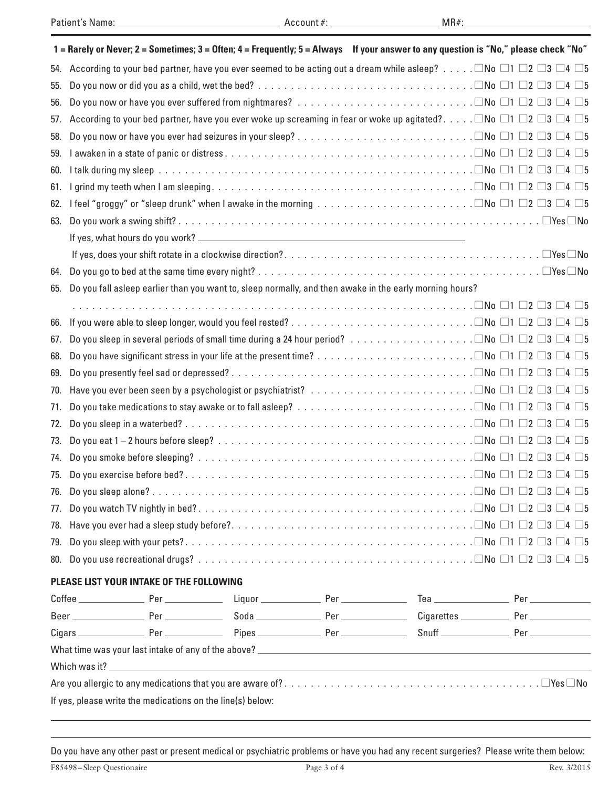|     |                                                            |                                          | 1 = Rarely or Never; 2 = Sometimes; 3 = Often; 4 = Frequently; 5 = Always If your answer to any question is "No," please check "No"                                                                   |  |  |  |
|-----|------------------------------------------------------------|------------------------------------------|-------------------------------------------------------------------------------------------------------------------------------------------------------------------------------------------------------|--|--|--|
| 54. |                                                            |                                          | According to your bed partner, have you ever seemed to be acting out a dream while asleep? $\Box$ No $\Box$ 1 $\Box$ 2 $\Box$ 3 $\Box$ 4 $\Box$ 5                                                     |  |  |  |
| 55. |                                                            |                                          |                                                                                                                                                                                                       |  |  |  |
| 56. |                                                            |                                          |                                                                                                                                                                                                       |  |  |  |
| 57. |                                                            |                                          | According to your bed partner, have you ever woke up screaming in fear or woke up agitated? $\Box$ No $\Box$ 1 $\Box$ 2 $\Box$ 3 $\Box$ 4 $\Box$ 5                                                    |  |  |  |
| 58. |                                                            |                                          |                                                                                                                                                                                                       |  |  |  |
| 59. |                                                            |                                          |                                                                                                                                                                                                       |  |  |  |
| 60. |                                                            |                                          |                                                                                                                                                                                                       |  |  |  |
| 61. |                                                            |                                          |                                                                                                                                                                                                       |  |  |  |
| 62. |                                                            |                                          | I feel "groggy" or "sleep drunk" when I awake in the morning $\ldots \ldots \ldots \ldots \ldots \ldots \ldots \ldots \ldots \square N$ o $\square$ 1 $\square$ 2 $\square$ 3 $\square$ 4 $\square$ 5 |  |  |  |
| 63. |                                                            |                                          |                                                                                                                                                                                                       |  |  |  |
|     |                                                            |                                          |                                                                                                                                                                                                       |  |  |  |
|     |                                                            |                                          |                                                                                                                                                                                                       |  |  |  |
| 64. |                                                            |                                          |                                                                                                                                                                                                       |  |  |  |
| 65. |                                                            |                                          | Do you fall asleep earlier than you want to, sleep normally, and then awake in the early morning hours?                                                                                               |  |  |  |
|     |                                                            |                                          |                                                                                                                                                                                                       |  |  |  |
| 66. |                                                            |                                          |                                                                                                                                                                                                       |  |  |  |
| 67. |                                                            |                                          |                                                                                                                                                                                                       |  |  |  |
| 68. |                                                            |                                          |                                                                                                                                                                                                       |  |  |  |
| 69. |                                                            |                                          |                                                                                                                                                                                                       |  |  |  |
| 70. |                                                            |                                          |                                                                                                                                                                                                       |  |  |  |
| 71. |                                                            |                                          |                                                                                                                                                                                                       |  |  |  |
| 72. |                                                            |                                          |                                                                                                                                                                                                       |  |  |  |
| 73. |                                                            |                                          |                                                                                                                                                                                                       |  |  |  |
| 74. |                                                            |                                          |                                                                                                                                                                                                       |  |  |  |
|     |                                                            |                                          |                                                                                                                                                                                                       |  |  |  |
|     |                                                            |                                          |                                                                                                                                                                                                       |  |  |  |
|     |                                                            |                                          |                                                                                                                                                                                                       |  |  |  |
|     |                                                            |                                          |                                                                                                                                                                                                       |  |  |  |
|     |                                                            |                                          |                                                                                                                                                                                                       |  |  |  |
|     |                                                            |                                          |                                                                                                                                                                                                       |  |  |  |
|     |                                                            | PLEASE LIST YOUR INTAKE OF THE FOLLOWING |                                                                                                                                                                                                       |  |  |  |
|     |                                                            |                                          |                                                                                                                                                                                                       |  |  |  |
|     |                                                            |                                          |                                                                                                                                                                                                       |  |  |  |
|     |                                                            |                                          |                                                                                                                                                                                                       |  |  |  |
|     |                                                            |                                          |                                                                                                                                                                                                       |  |  |  |
|     |                                                            |                                          |                                                                                                                                                                                                       |  |  |  |
|     |                                                            |                                          |                                                                                                                                                                                                       |  |  |  |
|     | If yes, please write the medications on the line(s) below: |                                          |                                                                                                                                                                                                       |  |  |  |

Do you have any other past or present medical or psychiatric problems or have you had any recent surgeries? Please write them below: